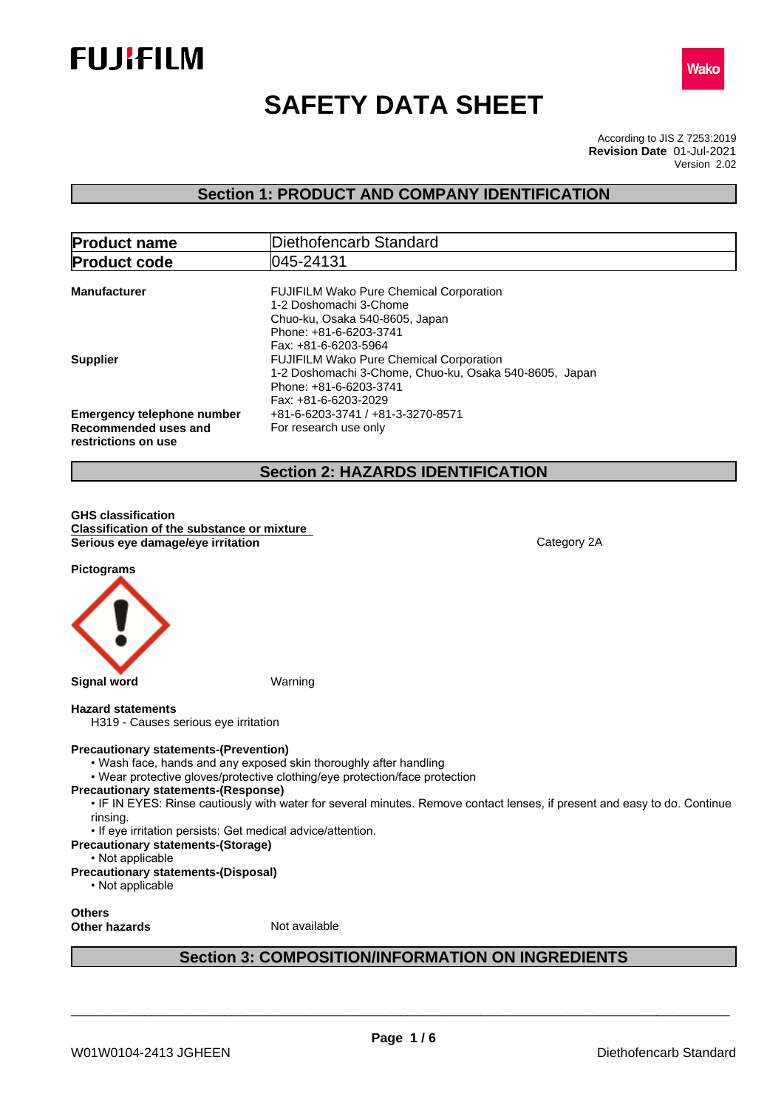



# **SAFETY DATA SHEET**

According to JIS Z 7253:2019 Version 2.02 **Revision Date** 01-Jul-2021

### **Section 1: PRODUCT AND COMPANY IDENTIFICATION**

| <b>Product name</b>                                                              | Diethofencarb Standard                                                                                                                                       |  |  |
|----------------------------------------------------------------------------------|--------------------------------------------------------------------------------------------------------------------------------------------------------------|--|--|
| 045-24131<br><b>Product code</b>                                                 |                                                                                                                                                              |  |  |
| <b>Manufacturer</b>                                                              | <b>FUJIFILM Wako Pure Chemical Corporation</b><br>1-2 Doshomachi 3-Chome<br>Chuo-ku, Osaka 540-8605, Japan<br>Phone: +81-6-6203-3741<br>Fax: +81-6-6203-5964 |  |  |
| <b>Supplier</b>                                                                  | <b>FUJIFILM Wako Pure Chemical Corporation</b><br>1-2 Doshomachi 3-Chome, Chuo-ku, Osaka 540-8605, Japan<br>Phone: +81-6-6203-3741<br>Fax: +81-6-6203-2029   |  |  |
| <b>Emergency telephone number</b><br>Recommended uses and<br>restrictions on use | +81-6-6203-3741 / +81-3-3270-8571<br>For research use only                                                                                                   |  |  |

### **Section 2: HAZARDS IDENTIFICATION**

**GHS classification Classification of the substance or mixture Serious** eye damage/eye irritation **Category 2A** Category 2A

**Pictograms**



#### **Hazard statements**

H319 - Causes serious eye irritation

#### **Precautionary statements-(Prevention)**

- Wash face, hands and any exposed skin thoroughly after handling
- Wear protective gloves/protective clothing/eye protection/face protection

#### **Precautionary statements-(Response)**

• IF IN EYES: Rinse cautiously with water for several minutes. Remove contact lenses, if present and easy to do. Continue rinsing.

• If eye irritation persists: Get medical advice/attention.

- **Precautionary statements-(Storage)**
	- Not applicable

### **Precautionary statements-(Disposal)**

• Not applicable

#### **Others Other hazards** Not available

### **Section 3: COMPOSITION/INFORMATION ON INGREDIENTS**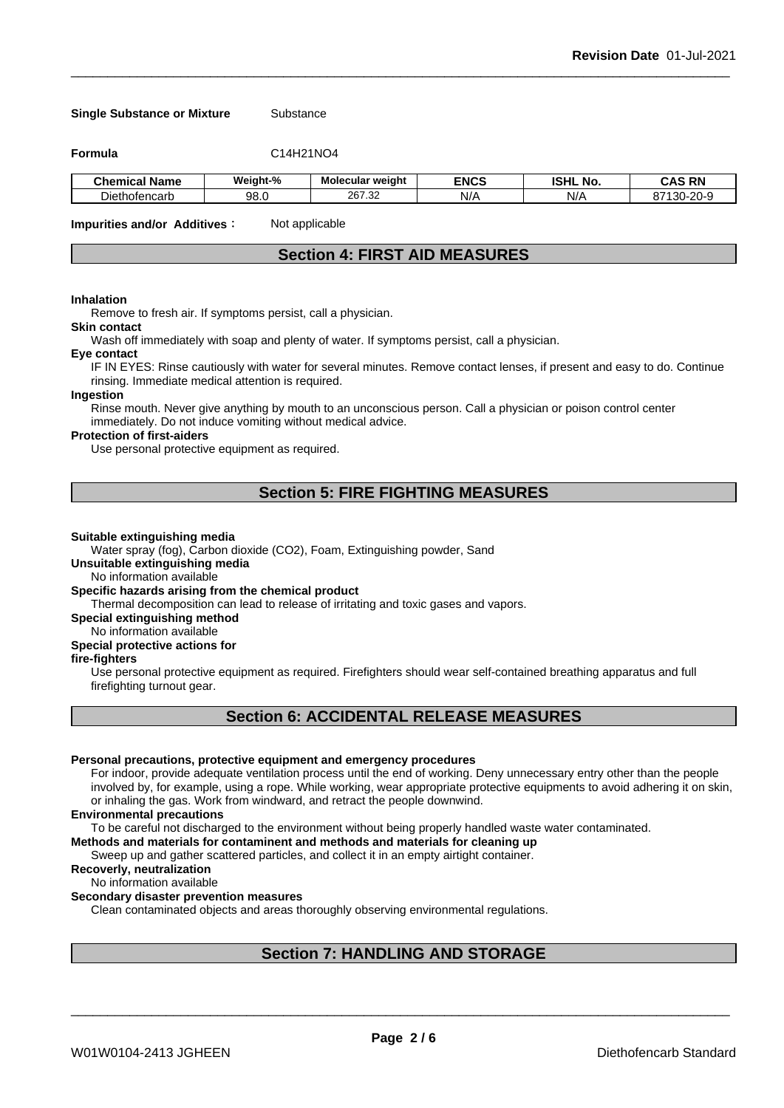#### **Single Substance or Mixture** Substance

**Formula** C14H21NO4

| .<br><b>Chemical Name</b> | Weiaht-%    | Molecular weight | <b>ENCS</b> | וניסו<br><b>NO</b><br>בוחפו | <b>DN</b><br>л<br>uno<br>-181                                  |
|---------------------------|-------------|------------------|-------------|-----------------------------|----------------------------------------------------------------|
| Diethofencarb             | Q.R<br>JU.U | 267.32           | N/A         | N/A                         | $\sim$ $\rightarrow$<br>.20−C<br>็13∩<br>n,<br>. .<br>– v<br>ື |

**Impurities and/or Additives:** Not applicable

### **Section 4: FIRST AID MEASURES**

#### **Inhalation**

Remove to fresh air. If symptoms persist, call a physician.

### **Skin contact**

Wash off immediately with soap and plenty of water. If symptoms persist, calla physician.

#### **Eye contact**

IF IN EYES: Rinse cautiously with water for several minutes. Remove contact lenses, if present and easy to do. Continue rinsing. Immediate medical attention is required.

#### **Ingestion**

Rinse mouth. Never give anything by mouth to an unconscious person. Call a physician or poison control center immediately. Do not induce vomiting without medical advice.

#### **Protection of first-aiders**

Use personal protective equipment as required.

### **Section 5: FIRE FIGHTING MEASURES**

#### **Suitable extinguishing media**

Water spray (fog), Carbon dioxide (CO2), Foam, Extinguishing powder, Sand

**Unsuitable extinguishing media**

No information available

#### **Specific hazards arising from the chemical product**

Thermal decomposition can lead to release of irritating and toxic gases and vapors.

**Special extinguishing method**

No information available

## **Special protective actions for**

**fire-fighters**

Use personal protective equipment as required.Firefighters should wear self-contained breathing apparatus and full firefighting turnout gear.

### **Section 6: ACCIDENTAL RELEASE MEASURES**

#### **Personal precautions, protective equipment and emergency procedures**

For indoor, provide adequate ventilation process until the end of working. Deny unnecessary entry other than the people involved by, for example, using a rope. While working, wear appropriate protective equipments to avoid adhering it on skin, or inhaling the gas. Work from windward, and retract the people downwind.

#### **Environmental precautions**

To be careful not discharged to the environment without being properly handled waste water contaminated.

#### **Methods and materials for contaminent and methods and materials for cleaning up**

Sweep up and gather scattered particles, and collect it in an empty airtight container.

#### **Recoverly, neutralization**

No information available

#### **Secondary disaster prevention measures**

Clean contaminated objects and areas thoroughly observing environmental regulations.

### **Section 7: HANDLING AND STORAGE**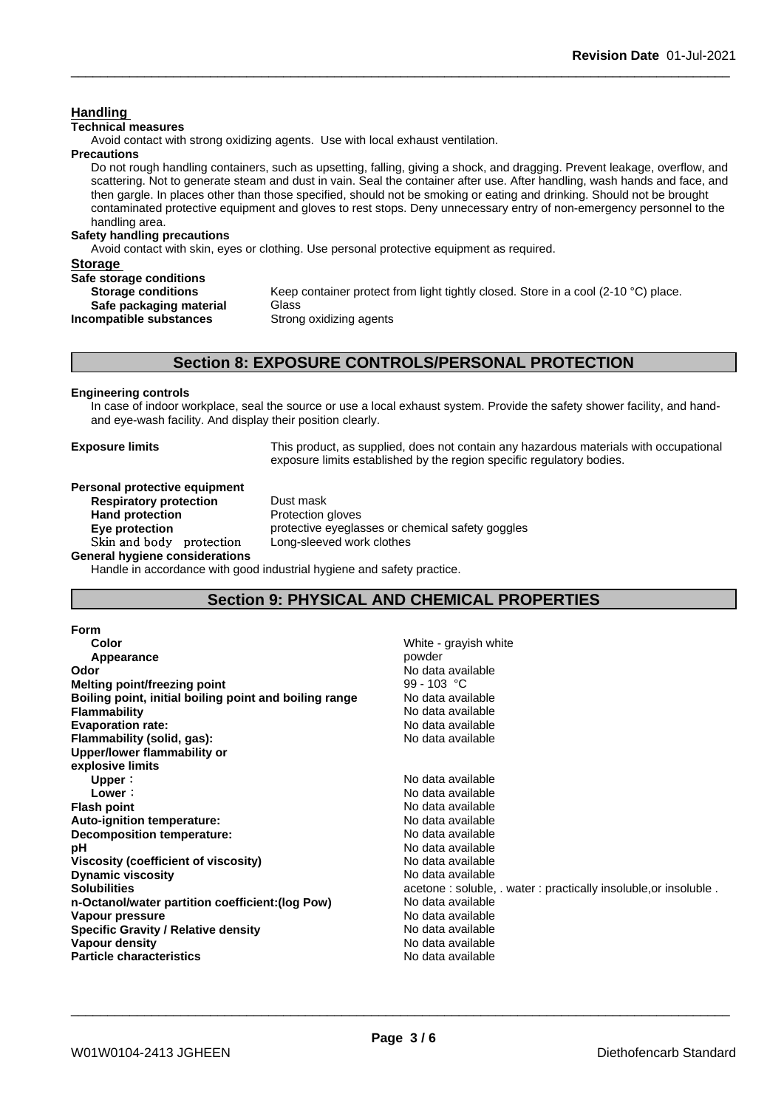#### **Handling**

#### **Technical measures**

Avoid contact with strong oxidizing agents. Use with local exhaust ventilation.

**Precautions**

Do not rough handling containers, such as upsetting, falling, giving a shock, and dragging. Prevent leakage, overflow, and scattering. Not to generate steam and dust in vain. Seal the container after use. After handling, wash hands and face, and then gargle. In places other than those specified, should not be smoking or eating and drinking. Should not be brought contaminated protective equipment and gloves to rest stops. Deny unnecessary entry of non-emergency personnel to the handling area.

#### **Safety handling precautions**

Avoid contact with skin, eyes or clothing. Use personal protective equipment as required.

#### **Storage**

#### **Safe storage conditions**

| <b>Storage conditions</b> | Keep container protect fron |
|---------------------------|-----------------------------|
| Safe packaging material   | Glass                       |
| Incompatible substances   | Strong oxidizing agents     |

Keep container protect from light tightly closed. Store in a cool (2-10 °C) place. **Strong oxidizing agents** 

### **Section 8: EXPOSURE CONTROLS/PERSONAL PROTECTION**

#### **Engineering controls**

In case of indoor workplace, seal the source or use a local exhaust system. Provide the safety shower facility, and handand eye-wash facility. And display their position clearly.

**Exposure limits** This product, as supplied, does not contain any hazardous materials with occupational exposure limits established by the region specific regulatory bodies.

### **Personal protective equipment**

**Respiratory protection** Dust mask **Hand protection** Protection gloves **Eye protection Exercise** protective eyeglasses or chemical safety goggles

**Skinandbody protection** Long-sleeved work clothes

**General hygiene considerations**

Handle in accordance with good industrial hygiene and safety practice.

### **Section 9: PHYSICAL AND CHEMICAL PROPERTIES**

| <b>Form</b>                                            |                                                               |
|--------------------------------------------------------|---------------------------------------------------------------|
| Color                                                  | White - grayish white                                         |
| Appearance                                             | powder                                                        |
| Odor                                                   | No data available                                             |
| Melting point/freezing point                           | 99 - 103 °C                                                   |
| Boiling point, initial boiling point and boiling range | No data available                                             |
| <b>Flammability</b>                                    | No data available                                             |
| <b>Evaporation rate:</b>                               | No data available                                             |
| Flammability (solid, gas):                             | No data available                                             |
| Upper/lower flammability or                            |                                                               |
| explosive limits                                       |                                                               |
| Upper:                                                 | No data available                                             |
| Lower:                                                 | No data available                                             |
| <b>Flash point</b>                                     | No data available                                             |
| Auto-ignition temperature:                             | No data available                                             |
| Decomposition temperature:                             | No data available                                             |
| рH                                                     | No data available                                             |
| Viscosity (coefficient of viscosity)                   | No data available                                             |
| <b>Dynamic viscosity</b>                               | No data available                                             |
| <b>Solubilities</b>                                    | acetone: soluble, water: practically insoluble, or insoluble. |
| n-Octanol/water partition coefficient: (log Pow)       | No data available                                             |
| Vapour pressure                                        | No data available                                             |
| <b>Specific Gravity / Relative density</b>             | No data available                                             |
| Vapour density                                         | No data available                                             |
| <b>Particle characteristics</b>                        | No data available                                             |
|                                                        |                                                               |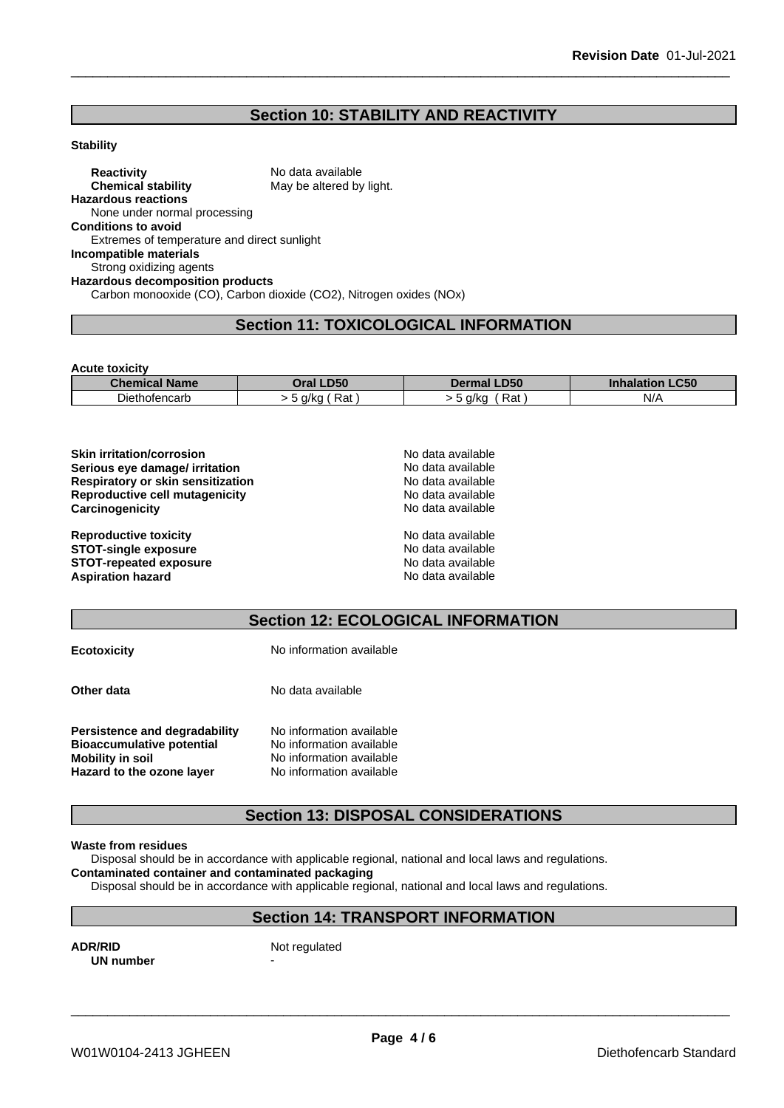### **Section 10: STABILITY AND REACTIVITY**

#### **Stability**

**Reactivity** No data available<br> **Chemical stability** May be altered by May be altered by light. **Hazardous reactions** None under normal processing **Conditions to avoid** Extremes of temperature and direct sunlight **Incompatible materials** Strong oxidizing agents **Hazardous decomposition products** Carbon monooxide (CO), Carbon dioxide (CO2), Nitrogen oxides (NOx)

### **Section 11: TOXICOLOGICAL INFORMATION**

**Acute toxicity**

| <b>Name</b><br>Chemical | <b>D50</b><br>)ral        | <b>_D50</b> | C <sub>ED</sub><br>ınnala<br>.ucu<br>пюн |
|-------------------------|---------------------------|-------------|------------------------------------------|
| Diethofencarb           | $-$<br>Rat<br>a/ka<br>. . | Rat<br>a/ka | N/A                                      |

| <b>Skin irritation/corrosion</b>  | No data available |  |
|-----------------------------------|-------------------|--|
| Serious eye damage/ irritation    | No data available |  |
| Respiratory or skin sensitization | No data available |  |
| Reproductive cell mutagenicity    | No data available |  |
| Carcinogenicity                   | No data available |  |
| <b>Reproductive toxicity</b>      | No data available |  |
| <b>STOT-single exposure</b>       | No data available |  |
| <b>STOT-repeated exposure</b>     | No data available |  |
| <b>Aspiration hazard</b>          | No data available |  |

### **Section 12: ECOLOGICAL INFORMATION**

| <b>Ecotoxicity</b>                                                                                                        | No information available                                                                                     |
|---------------------------------------------------------------------------------------------------------------------------|--------------------------------------------------------------------------------------------------------------|
| Other data                                                                                                                | No data available                                                                                            |
| <b>Persistence and degradability</b><br><b>Bioaccumulative potential</b><br>Mobility in soil<br>Hazard to the ozone layer | No information available<br>No information available<br>No information available<br>No information available |

### **Section 13: DISPOSAL CONSIDERATIONS**

#### **Waste from residues**

Disposal should be in accordance with applicable regional, national and local laws and regulations.

**Contaminated container and contaminated packaging**

Disposal should be in accordance with applicable regional, national and local laws and regulations.

## **Section 14: TRANSPORT INFORMATION**

**ADR/RID** Not regulated **UN number**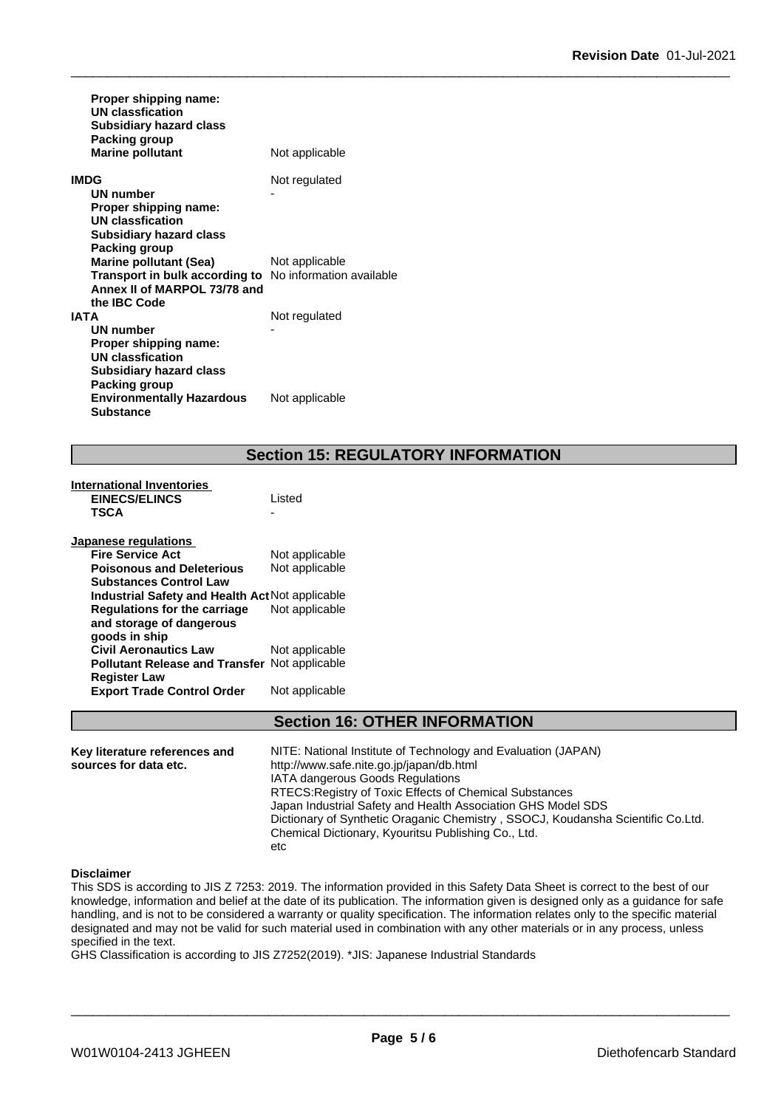| Proper shipping name:<br><b>UN classfication</b><br><b>Subsidiary hazard class</b><br><b>Packing group</b> |                |
|------------------------------------------------------------------------------------------------------------|----------------|
| <b>Marine pollutant</b>                                                                                    | Not applicable |
| IMDG<br>UN number                                                                                          | Not regulated  |
| Proper shipping name:<br>UN classfication                                                                  |                |
| <b>Subsidiary hazard class</b><br>Packing group                                                            |                |
| <b>Marine pollutant (Sea)</b>                                                                              | Not applicable |
| Transport in bulk according to No information available<br>Annex II of MARPOL 73/78 and                    |                |
| the IBC Code                                                                                               |                |
| <b>IATA</b>                                                                                                | Not regulated  |
| <b>UN number</b>                                                                                           |                |
| Proper shipping name:                                                                                      |                |
| UN classfication                                                                                           |                |
| <b>Subsidiary hazard class</b>                                                                             |                |
| <b>Packing group</b>                                                                                       |                |
| <b>Environmentally Hazardous</b><br><b>Substance</b>                                                       | Not applicable |

### **Section 15: REGULATORY INFORMATION**

| <b>International Inventories</b>                       |                |
|--------------------------------------------------------|----------------|
| <b>EINECS/ELINCS</b>                                   | Listed         |
| <b>TSCA</b>                                            |                |
| <b>Japanese regulations</b>                            |                |
| <b>Fire Service Act</b>                                | Not applicable |
| <b>Poisonous and Deleterious</b>                       | Not applicable |
| <b>Substances Control Law</b>                          |                |
| <b>Industrial Safety and Health Act Not applicable</b> |                |
| Regulations for the carriage                           | Not applicable |
| and storage of dangerous                               |                |
| goods in ship                                          |                |
| <b>Civil Aeronautics Law</b>                           | Not applicable |
| Pollutant Release and Transfer Not applicable          |                |
| <b>Register Law</b>                                    |                |
| <b>Export Trade Control Order</b>                      | Not applicable |

### **Section 16: OTHER INFORMATION**

**Key literature references and Key literature references and** NITE: National Institute of Technology and Evaluation (JAPAN) sources for data etc. http://www.safe.nite.go.jp/japan/db.html IATA dangerous Goods Regulations RTECS:Registry of Toxic Effects of Chemical Substances Japan Industrial Safety and Health Association GHS Model SDS Dictionary of Synthetic Oraganic Chemistry , SSOCJ, Koudansha Scientific Co.Ltd. Chemical Dictionary, Kyouritsu Publishing Co., Ltd. etc

#### **Disclaimer**

This SDS is according to JIS Z 7253: 2019. The information provided in this Safety Data Sheet is correct to the best of our knowledge, information and belief at the date of its publication. The information given is designed only as a guidance for safe handling, and is not to be considered a warranty or quality specification. The information relates only to the specific material designated and may not be valid for such material used in combination with any other materials or in any process, unless specified in the text.

GHS Classification is according to JIS Z7252(2019). \*JIS: Japanese Industrial Standards